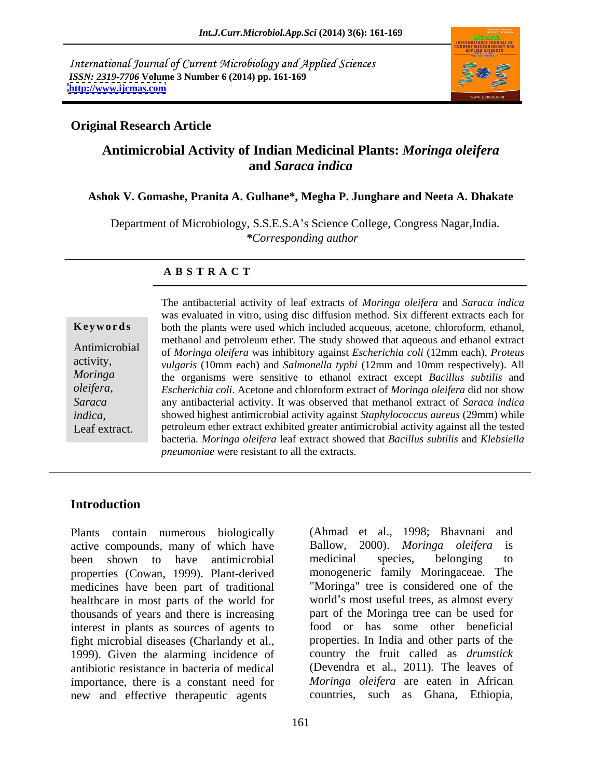International Journal of Current Microbiology and Applied Sciences *ISSN: 2319-7706* **Volume 3 Number 6 (2014) pp. 161-169 <http://www.ijcmas.com>**



### **Original Research Article**

# **Antimicrobial Activity of Indian Medicinal Plants:** *Moringa oleifera* **and** *Saraca indica*

### **Ashok V. Gomashe, Pranita A. Gulhane\*, Megha P. Junghare and Neeta A. Dhakate**

Department of Microbiology, S.S.E.S.A's Science College, Congress Nagar, India. *\*Corresponding author* 

### **A B S T R A C T**

*oleifera*,

**Keywords** both the plants were used which included acqueous, acetone, chloroform, ethanol, Antimicrobial of *Moringa oleifera* was inhibitory against *Escherichia coli* (12mm each), *Proteus* activity, *vulgaris* (10mm each) and *Salmonella typhi* (12mm and 10mm respectively). All *Moringa*  the organisms were sensitive to ethanol extract except *Bacillus subtilis* and *Saraca*  any antibacterial activity. It was observed that methanol extract of *Saraca indica indica,*  showed highest antimicrobial activity against *Staphylococcus aureus* (29mm) while The antibacterial activity of leaf extracts of *Moringa oleifera* and *Saraca indica*<br>
was evaluated in vitro, using disc diffusion method. Six different extracts each for<br>
both the plants were used which included acqueous was evaluated in vitro, using disc diffusion method. Six different extracts each for methanol and petroleum ether. The study showed that aqueous and ethanol extract *Escherichia coli*. Acetone and chloroform extract of *Moringa oleifera* did not show petroleum ether extract exhibited greater antimicrobial activity against all the tested bacteria. *Moringa oleifera* leaf extract showed that *Bacillus subtilis* and *Klebsiella pneumoniae* were resistant to all the extracts.

## **Introduction**

Plants contain numerous biologically active compounds, many of which have Ballow, 2000). Moringa oleifera is been shown to have antimicrobial medicinal species, belonging to properties (Cowan, 1999). Plant-derived monogeneric family Moringaceae. The medicines have been part of traditional healthcare in most parts of the world for world's most useful trees, as almost every thousands of years and there is increasing interest in plants as sources of agents to fight microbial diseases (Charlandy et al., 1999). Given the alarming incidence of country the fruit called as *drumstick*  antibiotic resistance in bacteria of medical (Devendra et al., 2011)*.* The leaves of importance, there is a constant need for new and effective therapeutic agents

(Ahmad et al., 1998; Bhavnani and Ballow, 2000). *Moringa oleifera* medicinal species, belonging to "Moringa" tree is considered one of the part of the Moringa tree can be used for food or has some other beneficial properties. In India and other parts of the *Moringa oleifera* are eaten in African countries, such as Ghana, Ethiopia,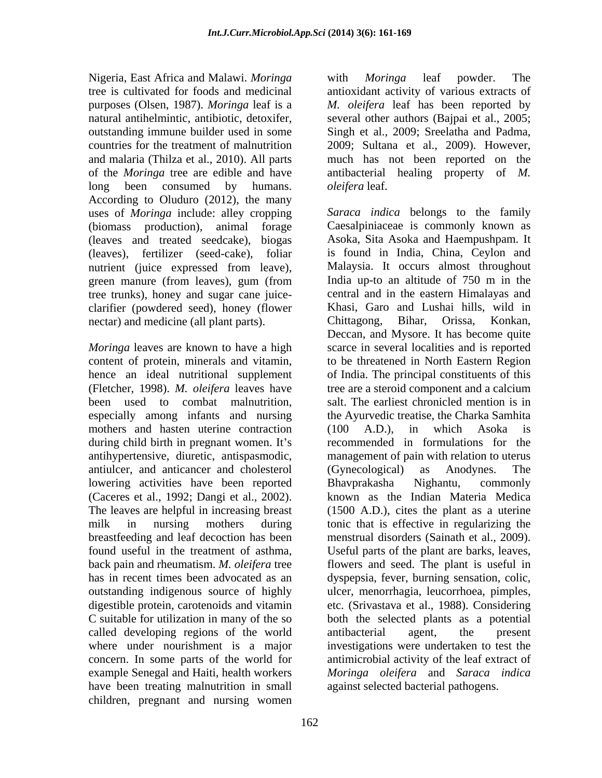Nigeria, East Africa and Malawi. *Moringa*  long been consumed by humans. *oleifera* leaf. According to Oluduro (2012), the many uses of *Moringa* include: alley cropping (leaves and treated seedcake), biogas (leaves), fertilizer (seed-cake), foliar green manure (from leaves), gum (from tree trunks), honey and sugar cane juice clarifier (powdered seed), honey (flower Khasi, Garo and Lushai hills, wild in nectar) and medicine (all plant parts) Chittagong. Bihar. Orissa. Konkan. nectar) and medicine (all plant parts). Chittagong, Bihar, Orissa,

especially among infants and nursing mothers and hasten uterine contraction (100 A.D.), in which Asoka is during child birth in pregnant women. It's antiulcer, and anticancer and cholesterol lowering activities have been reported (Caceres et al., 1992; Dangi et al., 2002). called developing regions of the world antibacterial agent, the present have been treating malnutrition in small children, pregnant and nursing women

tree is cultivated for foods and medicinal antioxidant activity of various extracts of purposes (Olsen, 1987). *Moringa* leaf is a *M. oleifera* leaf has been reported by natural antihelmintic, antibiotic, detoxifer, several other authors (Bajpai et al., 2005; outstanding immune builder used in some Singh et al., 2009; Sreelatha and Padma, countries for the treatment of malnutrition 2009; Sultana et al., 2009). However, and malaria (Thilza et al., 2010). All parts much has not been reported on the of the *Moringa* tree are edible and have antibacterial healing property of *M.*  with *Moringa* leaf powder. The *oleifera* leaf.

(biomass production), animal forage Caesalpiniaceae is commonly known as nutrient (juice expressed from leave), Malaysia. It occurs almost throughout *Moringa* leaves are known to have a high scarce in several localities and is reported content of protein, minerals and vitamin, to be threatened in North Eastern Region hence an ideal nutritional supplement of India. The principal constituents of this (Fletcher, 1998). *M. oleifera* leaves have tree are a steroid component and a calcium been used to combat malnutrition, salt. The earliest chronicled mention is in antihypertensive, diuretic, antispasmodic, management of pain with relation to uterus The leaves are helpful in increasing breast (1500 A.D.), cites the plant as a uterine milk in nursing mothers during tonic that is effective in regularizing the breastfeeding and leaf decoction has been menstrual disorders (Sainath et al., 2009). found useful in the treatment of asthma, Useful parts of the plant are barks, leaves, back pain and rheumatism. *M. oleifera* tree flowers and seed. The plant is useful in has in recent times been advocated as an dyspepsia, fever, burning sensation, colic, outstanding indigenous source of highly ulcer, menorrhagia, leucorrhoea, pimples, digestible protein, carotenoids and vitamin etc. (Srivastava et al., 1988). Considering C suitable for utilization in many of the so both the selected plants as a potential where under nourishment is a major investigations were undertaken to test the concern. In some parts of the world for antimicrobial activity of the leaf extract of example Senegal and Haiti, health workers *Moringa oleifera* and *Saraca indica Saraca indica* belongs to the family Asoka, Sita Asoka and Haempushpam. It is found in India, China, Ceylon and Malaysia. It occurs almost throughout India up-to an altitude of 750 m in the central and in the eastern Himalayas and Khasi, Garo and Lushai hills, wild in Chittagong, Bihar, Orissa, Konkan, Deccan, and Mysore. It has become quite the Ayurvedic treatise, the Charka Samhita (100 A.D.), in which Asoka is recommended in formulations for the (Gynecological) as Anodynes. The Bhavprakasha Nighantu, commonly known as the Indian Materia Medica antibacterial agent, the present against selected bacterial pathogens.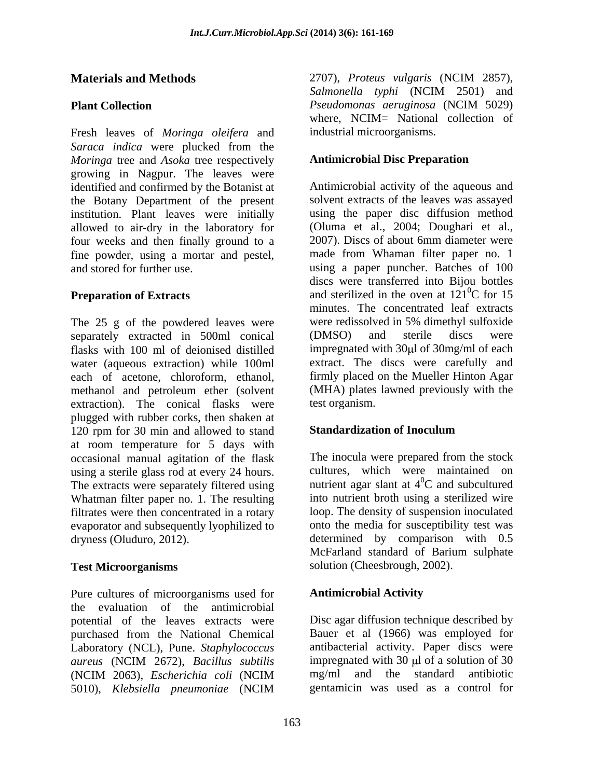Fresh leaves of *Moringa oleifera* and *Saraca indica* were plucked from the *Moringa* tree and *Asoka* tree respectively growing in Nagpur. The leaves were identified and confirmed by the Botanist at the Botany Department of the present institution. Plant leaves were initially allowed to air-dry in the laboratory for (Oluma et al., 2004; Doughari et al., four weeks and then finally ground to a 2007). Discs of about 6mm diameter were four weeks and then finally ground to a fine powder, using a mortar and pestel,

The 25 g of the powdered leaves were were redissolved in 5% dimethyl sulfoxide<br>separately extracted in 500ml conical (DMSO) and sterile discs were separately extracted in 500ml conical (DMSO) and sterile discs were flasks with 100 ml of deionised distilled impregnated with 30 $\mu$ l of 30mg/ml of each water (aqueous extraction) while 100ml each of acetone, chloroform, ethanol, methanol and petroleum ether (solvent extraction). The conical flasks were test-organism. plugged with rubber corks, then shaken at 120 rpm for 30 min and allowed to stand **Standardization of Inoculum** at room temperature for 5 days with occasional manual agitation of the flask using a sterile glass rod at every 24 hours. Cultures, which were maintained on<br>The extracts were separately filtered using mutrient agar slant at  $4^0C$  and subcultured Whatman filter paper no. 1. The resulting filtrates were then concentrated in a rotary evaporator and subsequently lyophilized to dryness (Oluduro, 2012). determined by comparison with 0.5

Pure cultures of microorganisms used for **Antimicrobial Activity** the evaluation of the antimicrobial potential of the leaves extracts were purchased from the National Chemical Laboratory (NCL), Pune. *Staphylococcus aureus* (NCIM 2672), *Bacillus subtilis* (NCIM 2063), *Escherichia coli* (NCIM 5010), *Klebsiella pneumoniae* (NCIM

**Materials and Methods** 2707), *Proteus vulgaris* (NCIM 2857), *Salmonella typhi* (NCIM 2501) and **Plant Collection** Pseudomonas aeruginosa (NCIM 5029) 2707), *Proteus vulgaris* (NCIM 2857), *Salmonella typhi* (NCIM 2501) and *Pseudomonas aeruginosa* (NCIM 5029) where, NCIM= National collection of industrial microorganisms.

### **Antimicrobial Disc Preparation**

and stored for further use. using a paper puncher. Batches of 100 **Preparation of Extracts** and sterilized in the oven at 121<sup>o</sup>C for 15 Antimicrobial activity of the aqueous and solvent extracts of the leaves was assayed using the paper disc diffusion method (Oluma et al., 2004; Doughari et al., 2007). Discs of about 6mm diameter were made from Whaman filter paper no. 1 discs were transferred into Bijou bottles  ${}^{0}C$  for 15 minutes. The concentrated leaf extracts were redissolved in 5% dimethyl sulfoxide (DMSO) and sterile discs were extract. The discs were carefully and firmly placed on the Mueller Hinton Agar (MHA) plates lawned previously with the test organism.

### **Standardization of Inoculum**

**Test Microorganisms** solution (Cheesbrough, 2002). The inocula were prepared from the stock cultures, which were maintained on nutrient agar slant at  $4^{\circ}$ C and subcultured  ${}^{0}C$  and subcultured into nutrient broth using a sterilized wire loop. The density of suspension inoculated onto the media for susceptibility test was McFarland standard of Barium sulphate

### **Antimicrobial Activity**

Disc agar diffusion technique described by Bauer et al (1966) was employed for antibacterial activity. Paper discs were impregnated with  $30 \text{ µ}$  of a solution of  $30 \text{ µ}$ mg/ml and the standard antibiotic gentamicin was used as a control for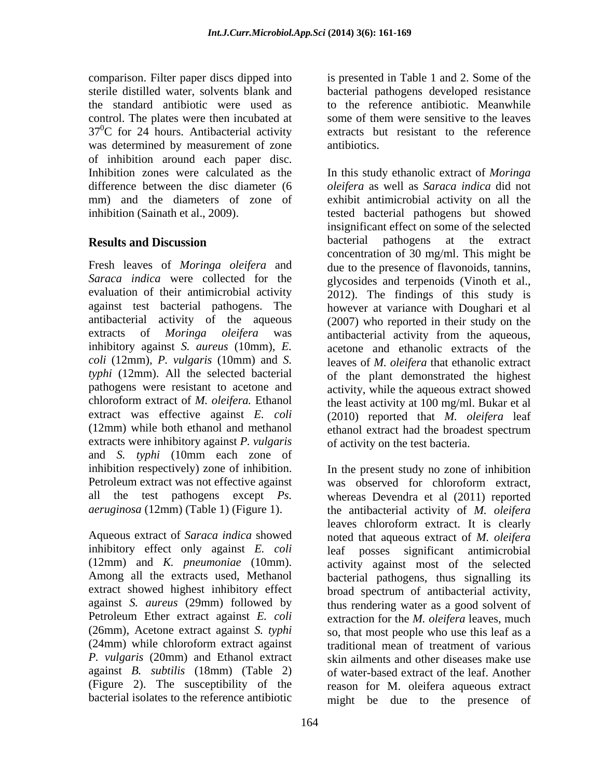comparison. Filter paper discs dipped into is presented in Table 1 and 2. Some of the sterile distilled water, solvents blank and bacterial pathogens developed resistance the standard antibiotic were used as control. The plates were then incubated at some of them were sensitive to the leaves  $37^0$ C for 24 hours. Antibacterial activity was determined by measurement of zone antibiotics. of inhibition around each paper disc.

(12mm) while both ethanol and methanol ethanol extract had the broadest spectrum extracts were inhibitory against *P. vulgaris*  and *S. typhi* (10mm each zone of

(24mm) while chloroform extract against *P. vulgaris* (20mm) and Ethanol extract to the reference antibiotic. Meanwhile some of them were sensitive to the leaves extracts but resistant to the reference antibiotics.

Inhibition zones were calculated as the In this study ethanolic extract of *Moringa* difference between the disc diameter (6 *oleifera* as well as *Saraca indica* did not mm) and the diameters of zone of exhibit antimicrobial activity on all the inhibition (Sainath et al., 2009). tested bacterial pathogens but showed **Results and Discussion Exercise Section** bacterial pathogens at the extract Fresh leaves of *Moringa oleifera* and due to the presence of flavonoids, tannins, *Saraca indica* were collected for the glycosides and terpenoids (Vinoth et al., evaluation of their antimicrobial activity 2012). The findings of this study is against test bacterial pathogens. The however at variance with Doughari et al antibacterial activity of the aqueous (2007) who reported in their study on the extracts of *Moringa oleifera* was antibacterial activity from the aqueous, inhibitory against *S. aureus* (10mm)*, E.* acetone and ethanolic extracts of the *coli* (12mm)*, P. vulgaris* (10mm) and *S.*  leaves of *M. oleifera* that ethanolic extract *typhi* (12mm). All the selected bacterial of the plant demonstrated the highest pathogens were resistant to acetone and activity, while the aqueous extract showed chloroform extract of *M. oleifera.* Ethanol the least activity at 100 mg/ml. Bukar et al extract was effective against *E. coli* (2010) reported that *M. oleifera* leaf insignificant effect on some of the selected bacterial pathogens at the extract concentration of 30 mg/ml. This might be ethanol extract had the broadest spectrum of activity on the test bacteria.

inhibition respectively) zone of inhibition. In the present study no zone of inhibition Petroleum extract was not effective against was observed for chloroform extract, all the test pathogens except *Ps.*  whereas Devendra et al (2011) reported *aeruginosa* (12mm) (Table 1) (Figure 1). <br> **Aqueous extract of** *Saraca indica* showed horioform extract. It is clearly noted that aqueous extract of *M. oleifera* inhibitory effect only against *E. coli* leaf posses significant antimicrobial (12mm) and *K. pneumoniae* (10mm). activity against most of the selected Among all the extracts used, Methanol bacterial pathogens, thus signalling its extract showed highest inhibitory effect broad spectrum of antibacterial activity, against *S. aureus* (29mm) followed by thus rendering water as a good solvent of Petroleum Ether extract against *E. coli* extraction for the *M. oleifera* leaves, much (26mm), Acetone extract against *S. typhi* so, that most people who use this leaf as a against *B. subtilis* (18mm) (Table 2) of water-based extract of the leaf. Another (Figure 2). The susceptibility of the reason for M. oleifera aqueous extract bacterial isolates to the reference antibiotic might be due to the presence ofthe antibacterial activity of *M. oleifera* leaves chloroform extract. It is clearly noted that aqueous extract of *M. oleifera* traditional mean of treatment of various skin ailments and other diseases make use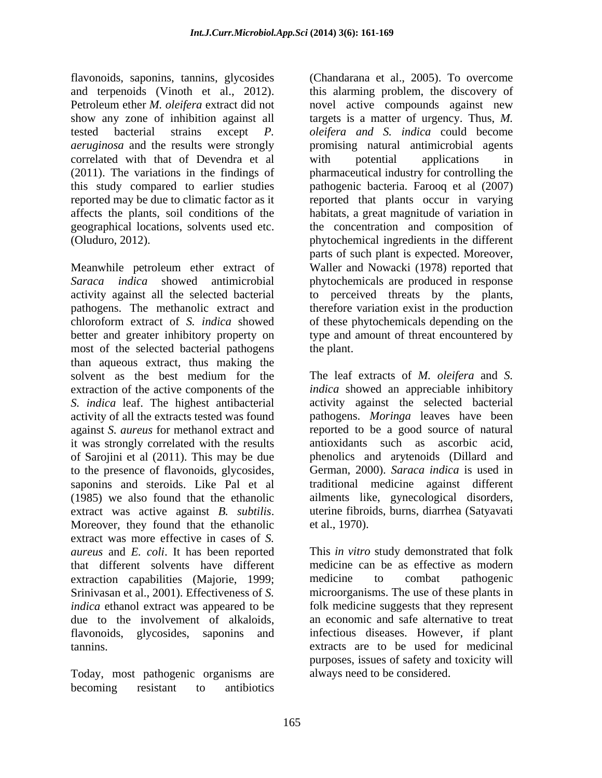flavonoids, saponins, tannins, glycosides and terpenoids (Vinoth et al., 2012). Petroleum ether *M. oleifera* extract did not novel active compounds against new show any zone of inhibition against all targets is a matter of urgency. Thus, M. tested bacterial strains except *P. oleifera and S. indica* could become *aeruginosa* and the results were strongly promising natural antimicrobial agents correlated with that of Devendra et al (2011). The variations in the findings of pharmaceutical industry for controlling the this study compared to earlier studies pathogenic bacteria. Farooq et al (2007) reported may be due to climatic factor as it reported that plants occur in varying affects the plants, soil conditions of the habitats, a great magnitude of variation in geographical locations, solvents used etc. the concentration and composition of

Meanwhile petroleum ether extract of Waller and Nowacki (1978) reported that *Saraca indica* showed antimicrobial phytochemicals are produced in response activity against all the selected bacterial to perceived threats by the plants, pathogens. The methanolic extract and therefore variation exist in the production chloroform extract of *S. indica* showed of these phytochemicals depending on the better and greater inhibitory property on type and amount of threat encountered by most of the selected bacterial pathogens the plant. than aqueous extract, thus making the solvent as the best medium for the The leaf extracts of M. *oleifera* and S. extraction of the active components of the *S. indica* leaf. The highest antibacterial activity of all the extracts tested was found pathogens. *Moringa* leaves have been against *S. aureus* for methanol extract and reported to be a good source of natural it was strongly correlated with the results of Sarojini et al (2011). This may be due phenolics and arytenoids (Dillard and to the presence of flavonoids, glycosides, saponins and steroids. Like Pal et al (1985) we also found that the ethanolic extract was active against *B. subtilis*. uterine fibroids, burns, diarrhea (Satyavati Moreover, they found that the ethanolic et al., 1970). extract was more effective in cases of *S. aureus* and *E. coli*. It has been reported This *in vitro* study demonstrated that folk that different solvents have different extraction capabilities (Majorie, 1999; Srinivasan et al., 2001). Effectiveness of *S. indica* ethanol extract was appeared to be folk medicine suggests that they represent due to the involvement of alkaloids, an economic and safe alternative to treat flavonoids, glycosides, saponins and infectious diseases. However, if plant tannins. extracts are to be used formedicinal

Today, most pathogenic organisms are becoming resistant to antibiotics

(Oluduro, 2012). phytochemical ingredients in the different (Chandarana et al., 2005). To overcome this alarming problem, the discovery of with potential applications in parts of such plant is expected. Moreover, the plant.

> ailments like, gynecological disorders, The leaf extracts of *M. oleifera* and *S. indica* showed an appreciable inhibitory activity against the selected bacterial antioxidants such as ascorbic acid, German, 2000). *Saraca indica* is used in traditional medicine against different ailments like, gynecological disorders,<br>uterine fibroids, burns, diarrhea (Satyavati et al., 1970).

medicine can be as effective as modern medicine to combat pathogenic microorganisms. The use of these plants in purposes, issues of safety and toxicity will always need to be considered.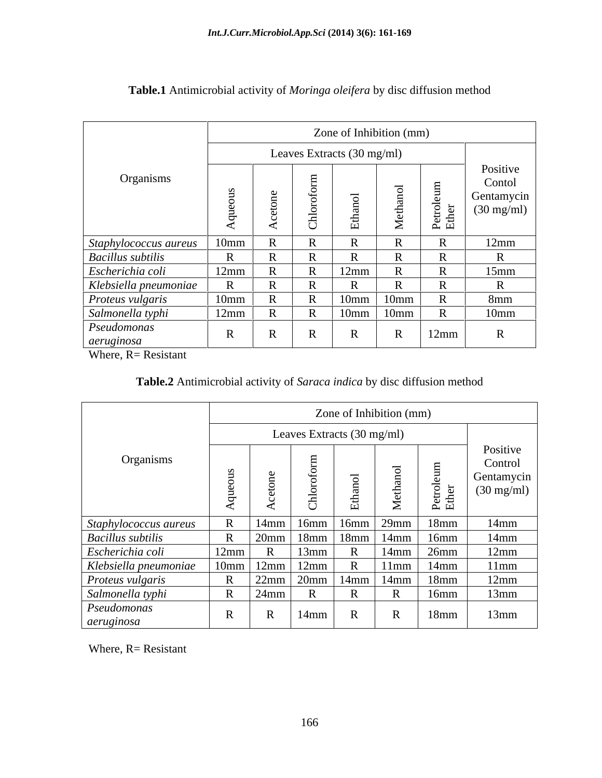|                           | Zone of Inhibition (mm)    |                     |              |                  |            |                            |                                                          |
|---------------------------|----------------------------|---------------------|--------------|------------------|------------|----------------------------|----------------------------------------------------------|
|                           | Leaves Extracts (30 mg/ml) |                     |              |                  |            |                            |                                                          |
| Organisms                 |                            |                     |              |                  | $\epsilon$ | $\triangleright$ $\square$ | Positive<br>Contol<br>Gentamycin<br>$(30 \text{ mg/ml})$ |
| Staphylococcus aureus     | 10mm                       |                     | $\sim$       |                  | $\sqrt{2}$ | $\mathbf{R}$               | 12mm                                                     |
| <b>Bacillus</b> subtilis  | $\mathbf{D}$               |                     |              |                  |            | $\mathbf{D}$               |                                                          |
| Escherichia coli          | 12mm                       | 1X                  | 1X           | 12mm             | $\sqrt{ }$ | $\mathbf{R}$               | 15mm                                                     |
| Klebsiella pneumoniae     | $\mathbf{D}$               |                     |              |                  | $\sim$     | $\mathbf{D}$               |                                                          |
| Proteus vulgaris          | 10mm                       | $\mathbf{v}$        | $\mathbf{r}$ | 10mm             | 10mm       | $\mathbf{R}$               | 8mm                                                      |
| Salmonella typhi          | 12mm                       |                     |              | 10 <sub>mm</sub> | 10mm       |                            | 10mm                                                     |
| Pseudomonas<br>aeruginosa | $\mathbf{D}$               | $\mathbf{D}$<br>-17 | $\mathbf{D}$ |                  | D          | 12mm                       |                                                          |

# **Table.1** Antimicrobial activity of *Moringa oleifera* by disc diffusion method

Where, R= Resistant

## **Table.2** Antimicrobial activity of *Saraca indica* by disc diffusion method

|                           |              |                |                      |                            | Zone of Inhibition (mm) |                                        |                                                           |
|---------------------------|--------------|----------------|----------------------|----------------------------|-------------------------|----------------------------------------|-----------------------------------------------------------|
|                           |              |                |                      | Leaves Extracts (30 mg/ml) |                         |                                        |                                                           |
| Organisms                 |              |                |                      |                            |                         |                                        | Positive<br>Control<br>Gentamycin<br>$(30 \text{ mg/ml})$ |
|                           |              |                |                      |                            |                         | ДЩ                                     |                                                           |
| Staphylococcus aureus     |              |                |                      |                            |                         | $R$   14mm   16mm   16mm   29mm   18mm | $14$ mm                                                   |
| <b>Bacillus</b> subtilis  |              | $\sqrt{20}$ mm | 18mm                 | $18$ mm                    | $14$ mm                 | 16mm                                   | $14$ mm                                                   |
| Escherichia coli          | 12mm         |                | 13mm                 |                            | 14mm                    | 26mm                                   | 12mm                                                      |
| Klebsiella pneumoniae     |              |                | $10mm$   12mm   12mm |                            | 11mm                    | $14$ mm                                | 11mm                                                      |
| Proteus vulgaris          | $\mathbf R$  | 22mm           | 20mm                 | 14mm                       | $14$ mm                 | $18$ mm                                | 12mm                                                      |
| Salmonella typhi          |              | $24$ mm        |                      | D.                         |                         | 16mm                                   | 13mm                                                      |
| Pseudomonas<br>aeruginosa | $\mathbf{R}$ |                | $14$ mm              | D<br>-IN                   |                         | 18mm                                   | 13mm                                                      |

Where, R= Resistant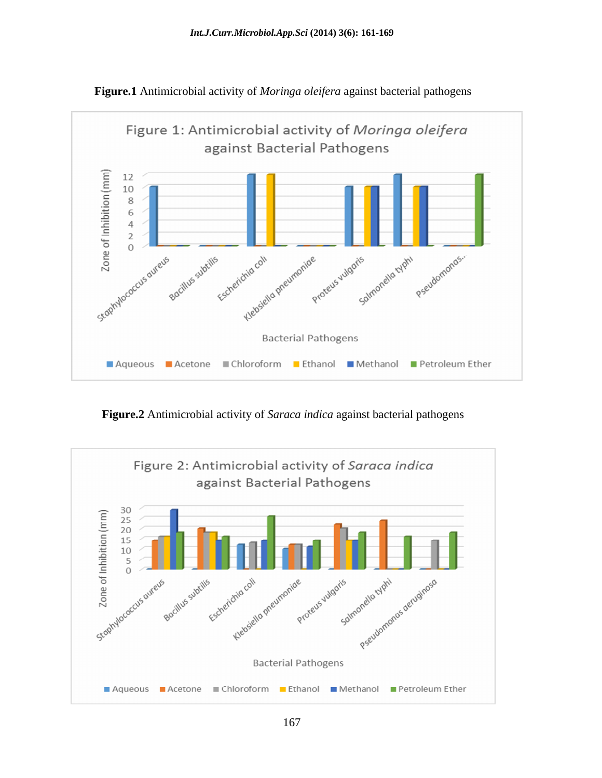

**Figure.1** Antimicrobial activity of *Moringa oleifera* against bacterial pathogens

**Figure.2** Antimicrobial activity of *Saraca indica* against bacterial pathogens

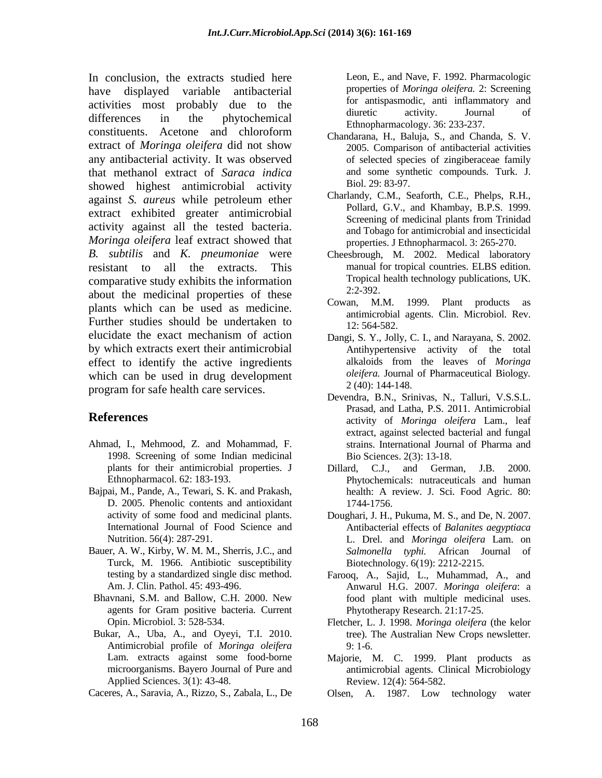In conclusion, the extracts studied here have displayed variable antibacterial activities most probably due to the to the direction of antispasmodic, anti-inflammatory and direction of direction of the direction of the direction of the direction of the direction of the direction of the direction of t differences in the phytochemical  $\frac{\text{number of the number of intervals}}{\text{Fth nonhermeology} 36:232.227}$  $\frac{1}{2}$  constituents. Acetone and chloroform  $\frac{1}{2}$  Chanderana H Baluja S and Chanda S V extract of *Moringa oleifera* did not show any antibacterial activity. It was observed that methanol extract of *Saraca indica* and some synthesized bighest antimicrobial activity Biol. 29: 83-97. showed highest antimicrobial activity against *S. aureus* while petroleum ether extract exhibited greater antimicrobial Screening of medicinal plants from Trinidad activity against all the tested bacteria. *Moringa oleifera* leaf extract showed that *B*. *subtilis* and *K*. *pneumoniae* were *B. subtilis* and *K. pneumoniae* were Cheesbrough, M. 2002. Medical laboratory resistant to all the extracts. This manual for tropical countries. ELBS edition. comparative study exhibits the information Tropical<br>chant the medicinal properties of these 2:2-392. about the medicinal properties of these  $2.22-392$ .<br>Cowan, M.M. plants which can be used as medicine. Further studies should be undertaken to  $\frac{12:564-582}{12:564-582}$ elucidate the exact mechanism of action Dangi, S. Y., Jolly, C. I., and Narayana, S. 2002. by which extracts exert their antimicrobial effect to identify the active ingredients which can be used in drug development *oleifera*. Journal<br>nuclear for eater health care convices<br> $2(40): 144-148$ . program for safe health care services.

- Ahmad, I., Mehmood, Z. and Mohammad, F. 1998. Screening of some Indian medicinal
- Bajpai, M., Pande, A., Tewari, S. K. and Prakash, D. 2005. Phenolic contents and antioxidant 1744-1756.
- Bauer, A. W., Kirby, W. M. M., Sherris, J.C., and Turck, M. 1966. Antibiotic susceptibility
- agents for Gram positive bacteria. Current
- Antimicrobial profile of *Moringa oleifera* Applied Sciences. 3(1): 43-48.
- 

Leon, E., and Nave, F. 1992. Pharmacologic properties of *Moringa oleifera.* 2: Screening for antispasmodic, anti inflammatory and diuretic activity. Journal of Ethnopharmacology. 36: 233-237.

- Chandarana, H., Baluja, S., and Chanda, S. V. 2005. Comparison of antibacterial activities of selected species of zingiberaceae family and some synthetic compounds. Turk. J. Biol. 29: 83-97.
- Charlandy, C.M., Seaforth, C.E., Phelps, R.H., Pollard, G.V., and Khambay, B.P.S. 1999. Screening of medicinal plants from Trinidad and Tobago for antimicrobial and insecticidal properties. J Ethnopharmacol. 3: 265-270.
- Tropical health technology publications, UK. 2:2-392.
- 1999. Plant products as antimicrobial agents. Clin. Microbiol. Rev. 12: 564-582.
- Dangi, S. Y., Jolly, C. I., and Narayana, S. 2002. Antihypertensive activity of the total alkaloids from the leaves of *Moringa oleifera.* Journal of Pharmaceutical Biology*.* 2 (40): 144-148.
- **References** activity of *Moringa oleifera* Lam., leaf Devendra, B.N., Srinivas, N., Talluri, V.S.S.L. Prasad, and Latha, P.S. 2011. Antimicrobial extract, against selected bacterial and fungal strains. International Journal of Pharma and Bio Sciences. 2(3): 13-18.
	- plants for their antimicrobial properties. J and Cerman, J.B. 2000. Ethnopharmacol. 62: 183-193. Phytochemicals: nutraceuticals and human C.J., and German, J.B. health: A review. J. Sci. Food Agric. 80: 1744-1756.
	- activity of some food and medicinal plants. Doughari, J. H., Pukuma, M. S., and De, N. 2007. International Journal of Food Science and Antibacterial effects of *Balanites aegyptiaca* Nutrition. 56(4): 287-291. L. Drel. and *Moringa oleifera* Lam. on *Salmonella typhi.* African Journal of Biotechnology. 6(19): 2212-2215.
- testing by a standardized single disc method. Farooq, A., Sajid, L., Muhammad, A., and Am. J. Clin. Pathol. 45: 493-496. Anwarul H.G. 2007. *Moringa oleifera*: a Bhavnani, S.M. and Ballow, C.H. 2000. New food plant with multiple medicinal uses. Phytotherapy Research. 21:17-25.
- Opin. Microbiol. 3: 528-534. Fletcher, L. J. 1998. *Moringa oleifera* (the kelor Bukar, A., Uba, A., and Oyeyi, T.I. 2010. The Australian New Crops newsletter. tree). The Australian New Crops newsletter. 9: 1-6.
	- Lam. extracts against some food-borne Majorie, M. C. 1999. Plant products as microorganisms. Bayero Journal of Pure and antimicrobial agents. Clinical Microbiology Review. 12(4): 564-582.
- Caceres, A., Saravia, A., Rizzo, S., Zabala, L., De Olsen, A. 1987. Low technology water